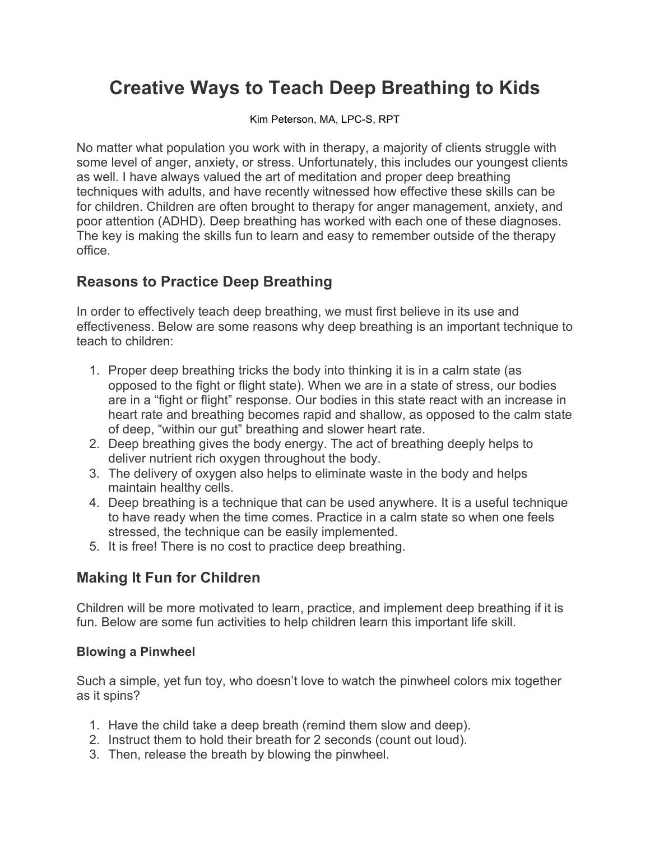# **Creative Ways to Teach Deep Breathing to Kids**

Kim Peterson, MA, LPC-S, RPT

No matter what population you work with in therapy, a majority of clients struggle with some level of anger, anxiety, or stress. Unfortunately, this includes our youngest clients as well. I have always valued the art of meditation and proper deep breathing techniques with adults, and have recently witnessed how effective these skills can be for children. Children are often brought to therapy for anger management, anxiety, and poor attention (ADHD). Deep breathing has worked with each one of these diagnoses. The key is making the skills fun to learn and easy to remember outside of the therapy office.

### **Reasons to Practice Deep Breathing**

In order to effectively teach deep breathing, we must first believe in its use and effectiveness. Below are some reasons why deep breathing is an important technique to teach to children:

- 1. Proper deep breathing tricks the body into thinking it is in a calm state (as opposed to the fight or flight state). When we are in a state of stress, our bodies are in a "fight or flight" response. Our bodies in this state react with an increase in heart rate and breathing becomes rapid and shallow, as opposed to the calm state of deep, "within our gut" breathing and slower heart rate.
- 2. Deep breathing gives the body energy. The act of breathing deeply helps to deliver nutrient rich oxygen throughout the body.
- 3. The delivery of oxygen also helps to eliminate waste in the body and helps maintain healthy cells.
- 4. Deep breathing is a technique that can be used anywhere. It is a useful technique to have ready when the time comes. Practice in a calm state so when one feels stressed, the technique can be easily implemented.
- 5. It is free! There is no cost to practice deep breathing.

### **Making It Fun for Children**

Children will be more motivated to learn, practice, and implement deep breathing if it is fun. Below are some fun activities to help children learn this important life skill.

#### **Blowing a Pinwheel**

Such a simple, yet fun toy, who doesn't love to watch the pinwheel colors mix together as it spins?

- 1. Have the child take a deep breath (remind them slow and deep).
- 2. Instruct them to hold their breath for 2 seconds (count out loud).
- 3. Then, release the breath by blowing the pinwheel.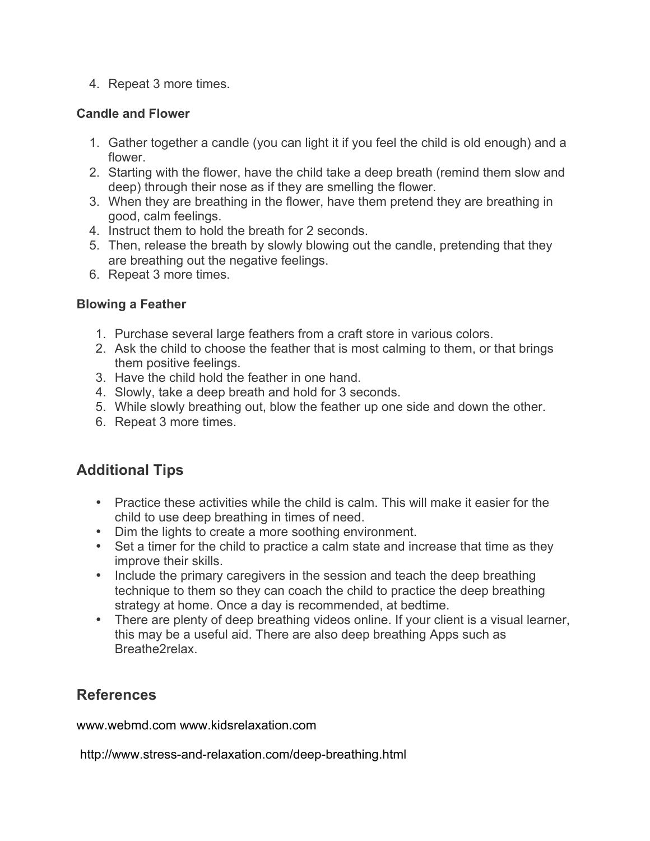4. Repeat 3 more times.

#### **Candle and Flower**

- 1. Gather together a candle (you can light it if you feel the child is old enough) and a flower.
- 2. Starting with the flower, have the child take a deep breath (remind them slow and deep) through their nose as if they are smelling the flower.
- 3. When they are breathing in the flower, have them pretend they are breathing in good, calm feelings.
- 4. Instruct them to hold the breath for 2 seconds.
- 5. Then, release the breath by slowly blowing out the candle, pretending that they are breathing out the negative feelings.
- 6. Repeat 3 more times.

#### **Blowing a Feather**

- 1. Purchase several large feathers from a craft store in various colors.
- 2. Ask the child to choose the feather that is most calming to them, or that brings them positive feelings.
- 3. Have the child hold the feather in one hand.
- 4. Slowly, take a deep breath and hold for 3 seconds.
- 5. While slowly breathing out, blow the feather up one side and down the other.
- 6. Repeat 3 more times.

## **Additional Tips**

- Practice these activities while the child is calm. This will make it easier for the child to use deep breathing in times of need.
- Dim the lights to create a more soothing environment.
- Set a timer for the child to practice a calm state and increase that time as they improve their skills.
- Include the primary caregivers in the session and teach the deep breathing technique to them so they can coach the child to practice the deep breathing strategy at home. Once a day is recommended, at bedtime.
- There are plenty of deep breathing videos online. If your client is a visual learner, this may be a useful aid. There are also deep breathing Apps such as Breathe2relax.

### **References**

www.webmd.com www.kidsrelaxation.com

http://www.stress-and-relaxation.com/deep-breathing.html